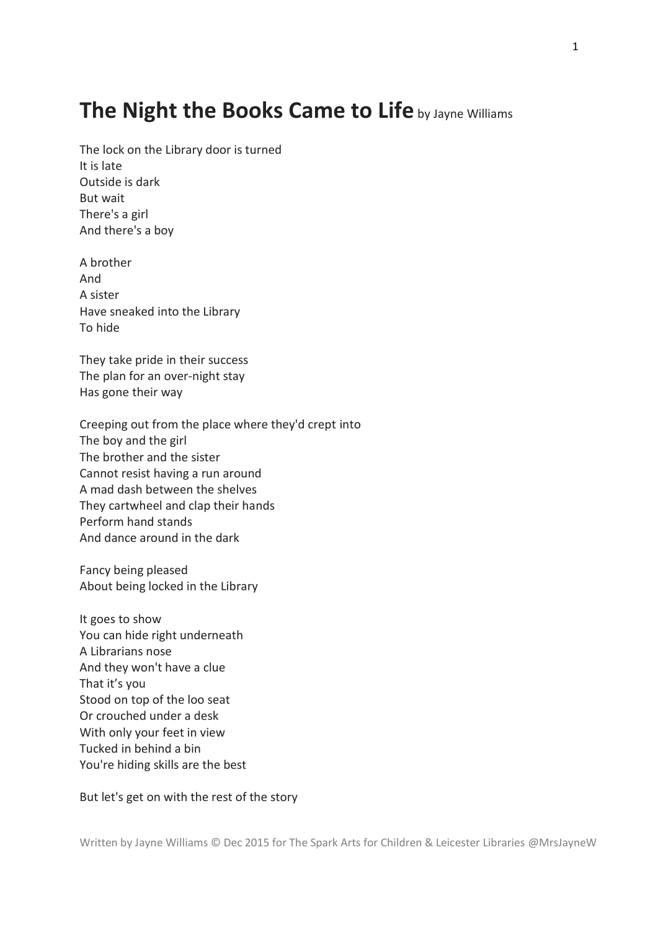## **The Night the Books Came to Life** by Jayne Williams

The lock on the Library door is turned It is late Outside is dark But wait There's a girl And there's a boy

A brother And A sister Have sneaked into the Library To hide

They take pride in their success The plan for an over-night stay Has gone their way

Creeping out from the place where they'd crept into The boy and the girl The brother and the sister Cannot resist having a run around A mad dash between the shelves They cartwheel and clap their hands Perform hand stands And dance around in the dark

Fancy being pleased About being locked in the Library

It goes to show You can hide right underneath A Librarians nose And they won't have a clue That it's you Stood on top of the loo seat Or crouched under a desk With only your feet in view Tucked in behind a bin You're hiding skills are the best

But let's get on with the rest of the story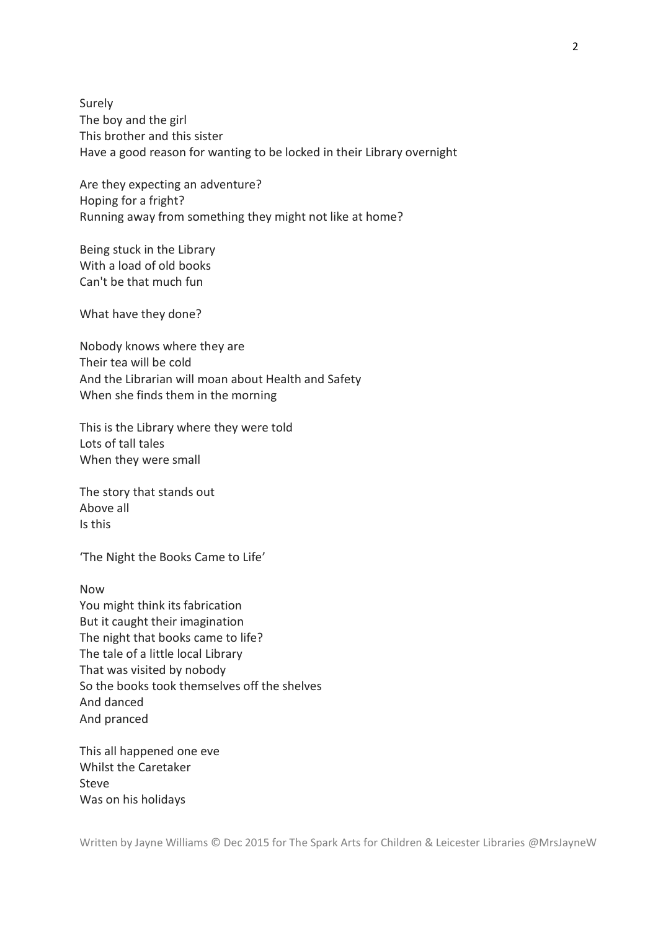Surely The boy and the girl This brother and this sister Have a good reason for wanting to be locked in their Library overnight

Are they expecting an adventure? Hoping for a fright? Running away from something they might not like at home?

Being stuck in the Library With a load of old books Can't be that much fun

What have they done?

Nobody knows where they are Their tea will be cold And the Librarian will moan about Health and Safety When she finds them in the morning

This is the Library where they were told Lots of tall tales When they were small

The story that stands out Above all Is this

'The Night the Books Came to Life'

Now You might think its fabrication But it caught their imagination The night that books came to life? The tale of a little local Library That was visited by nobody So the books took themselves off the shelves And danced And pranced

This all happened one eve Whilst the Caretaker Steve Was on his holidays

Written by Jayne Williams © Dec 2015 for The Spark Arts for Children & Leicester Libraries @MrsJayneW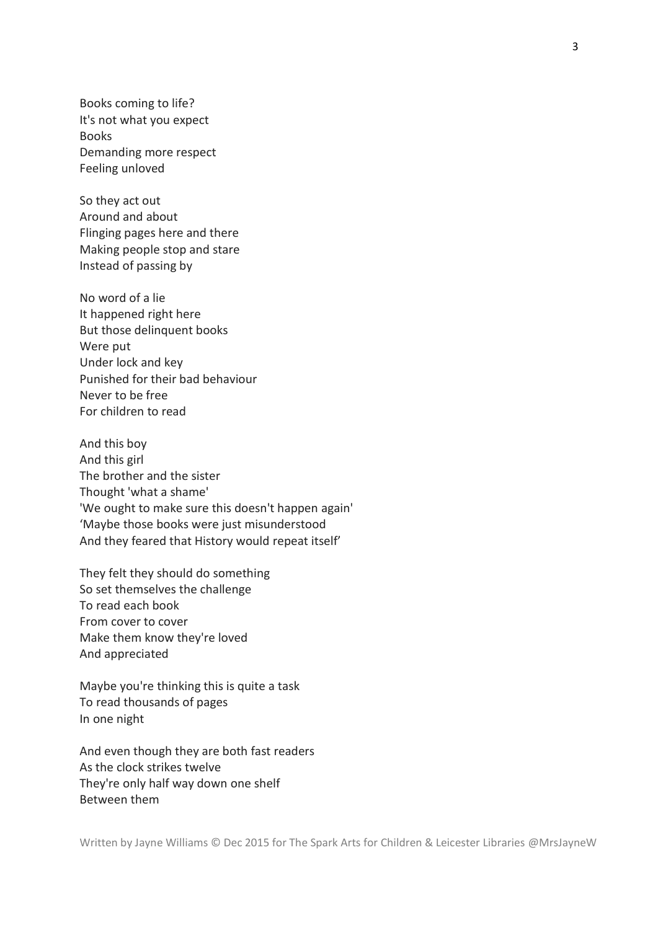Books coming to life? It's not what you expect Books Demanding more respect Feeling unloved

So they act out Around and about Flinging pages here and there Making people stop and stare Instead of passing by

No word of a lie It happened right here But those delinquent books Were put Under lock and key Punished for their bad behaviour Never to be free For children to read

And this boy And this girl The brother and the sister Thought 'what a shame' 'We ought to make sure this doesn't happen again' 'Maybe those books were just misunderstood And they feared that History would repeat itself'

They felt they should do something So set themselves the challenge To read each book From cover to cover Make them know they're loved And appreciated

Maybe you're thinking this is quite a task To read thousands of pages In one night

And even though they are both fast readers As the clock strikes twelve They're only half way down one shelf Between them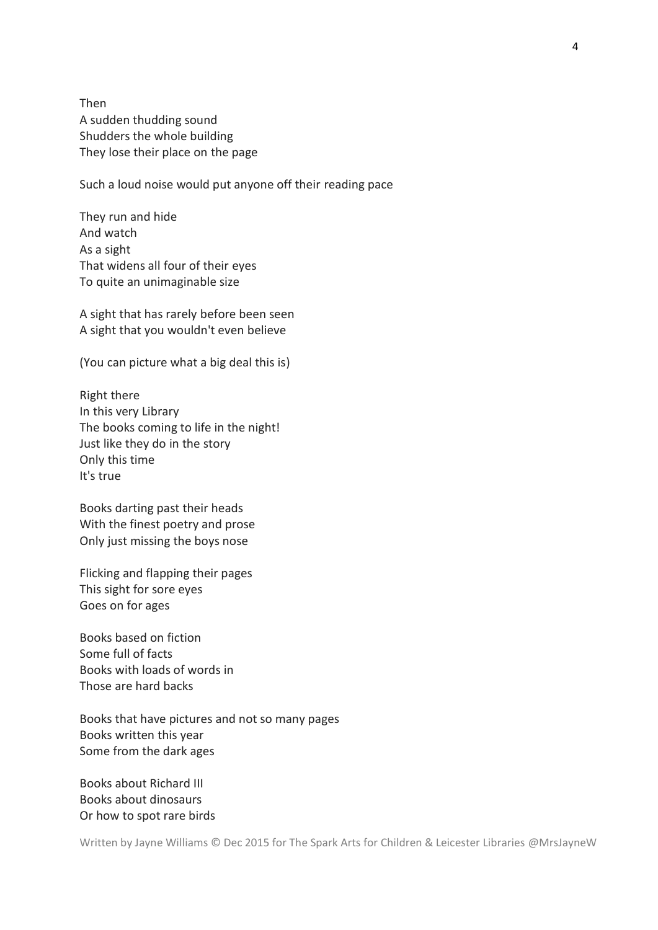Then A sudden thudding sound Shudders the whole building They lose their place on the page

Such a loud noise would put anyone off their reading pace

They run and hide And watch As a sight That widens all four of their eyes To quite an unimaginable size

A sight that has rarely before been seen A sight that you wouldn't even believe

(You can picture what a big deal this is)

Right there In this very Library The books coming to life in the night! Just like they do in the story Only this time It's true

Books darting past their heads With the finest poetry and prose Only just missing the boys nose

Flicking and flapping their pages This sight for sore eyes Goes on for ages

Books based on fiction Some full of facts Books with loads of words in Those are hard backs

Books that have pictures and not so many pages Books written this year Some from the dark ages

Books about Richard III Books about dinosaurs Or how to spot rare birds

Written by Jayne Williams © Dec 2015 for The Spark Arts for Children & Leicester Libraries @MrsJayneW